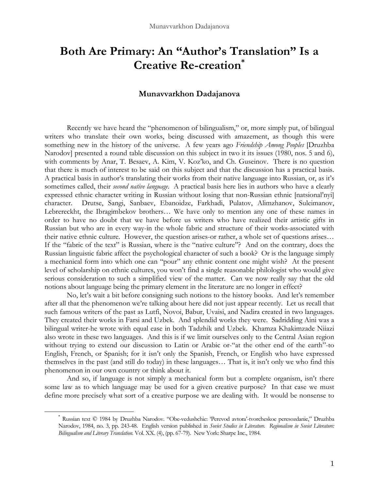## **Both Are Primary: An "Author's Translation" Is a Creative Re-creation\***

## **Munavvarkhon Dadajanova**

Recently we have heard the "phenomenon of bilingualism," or, more simply put, of bilingual writers who translate their own works, being discussed with amazement, as though this were something new in the history of the universe. A few years ago *Friendship Among Peoples* [Druzhba Narodov] presented a round table discussion on this subject in two it its issues (1980, nos. 5 and 6), with comments by Anar, T. Besaev, A. Kim, V. Koz'ko, and Ch. Guseinov. There is no question that there is much of interest to be said on this subject and that the discussion has a practical basis. A practical basis in author's translating their works from their native language into Russian, or, as it's sometimes called, their *second native language*. A practical basis here lies in authors who have a clearly expressed ethnic character writing in Russian without losing that non-Russian ethnic [natsional'nyi] character. Drutse, Sangi, Sanbaev, Ebanoidze, Farkhadi, Pulatov, Alimzhanov, Suleimanov, Lebrereckht, the Ibragimbekov brothers… We have only to mention any one of these names in order to have no doubt that we have before us writers who have realized their artistic gifts in Russian but who are in every way-in the whole fabric and structure of their works-associated with their native ethnic culture. However, the question arises-or rather, a whole set of questions arises… If the "fabric of the text" is Russian, where is the "native culture"? And on the contrary, does the Russian linguistic fabric affect the psychological character of such a book? Or is the language simply a mechanical form into which one can "pour" any ethnic content one might wish? At the present level of scholarship on ethnic cultures, you won't find a single reasonable philologist who would give serious consideration to such a simplified view of the matter. Can we now really say that the old notions about language being the primary element in the literature are no longer in effect?

No, let's wait a bit before consigning such notions to the history books. And let's remember after all that the phenomenon we're talking about here did not just appear recently. Let us recall that such famous writers of the past as Lutfi, Novoi, Babur, Uvaisi, and Nadira created in two languages. They created their works in Farsi and Uzbek. And splendid works they were. Sadridding Aini was a bilingual writer-he wrote with equal ease in both Tadzhik and Uzbek. Khamza Khakimzade Niiazi also wrote in these two languages. And this is if we limit ourselves only to the Central Asian region without trying to extend our discussion to Latin or Arabic or-"at the other end of the earth"-to English, French, or Spanish; for it isn't only the Spanish, French, or English who have expressed themselves in the past (and still do today) in these languages… That is, it isn't only we who find this phenomenon in our own country or think about it.

And so, if language is not simply a mechanical form but a complete organism, isn't there some law as to which language may be used for a given creative purpose? In that case we must define more precisely what sort of a creative purpose we are dealing with. It would be nonsense to

\* Russian text © 1984 by Druzhba Narodov. "Obe-vedushchie: 'Perevod avtora'-tvorcheskoe peresozdanie," Druzhba Narodov, 1984, no. 3, pp. 243-48. English version published in *Soviet Studies in Literature. Regionalism in Soviet Literature: Bilingualism and Literary Translation.* Vol. XX. (4), (pp. 67-79). New York: Sharpe Inc., 1984.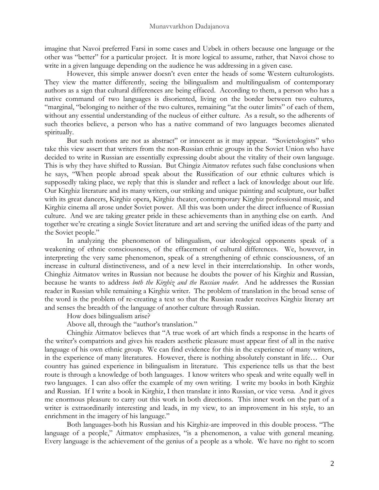imagine that Navoi preferred Farsi in some cases and Uzbek in others because one language or the other was "better" for a particular project. It is more logical to assume, rather, that Navoi chose to write in a given language depending on the audience he was addressing in a given case.

However, this simple answer doesn't even enter the heads of some Western culturologists. They view the matter differently, seeing the bilingualism and multilingualism of contemporary authors as a sign that cultural differences are being effaced. According to them, a person who has a native command of two languages is disoriented, living on the border between two cultures, "marginal, "belonging to neither of the two cultures, remaining "at the outer limits" of each of them, without any essential understanding of the nucleus of either culture. As a result, so the adherents of such theories believe, a person who has a native command of two languages becomes alienated spiritually.

But such notions are not as abstract" or innocent as it may appear. "Sovietologists" who take this view assert that writers from the non-Russian ethnic groups in the Soviet Union who have decided to write in Russian are essentially expressing doubt about the vitality of their own language. This is why they have shifted to Russian. But Chingiz Aitmatov refutes such false conclusions when he says, "When people abroad speak about the Russification of our ethnic cultures which is supposedly taking place, we reply that this is slander and reflect a lack of knowledge about our life. Our Kirghiz literature and its many writers, our striking and unique painting and sculpture, our ballet with its great dancers, Kirghiz opera, Kirghiz theater, contemporary Kirghiz professional music, and Kirghiz cinema all arose under Soviet power. All this was born under the direct influence of Russian culture. And we are taking greater pride in these achievements than in anything else on earth. And together we're creating a single Soviet literature and art and serving the unified ideas of the party and the Soviet people."

In analyzing the phenomenon of bilingualism, our ideological opponents speak of a weakening of ethnic consciousness, of the effacement of cultural differences. We, however, in interpreting the very same phenomenon, speak of a strengthening of ethnic consciousness, of an increase in cultural distinctiveness, and of a new level in their interrelationship. In other words, Chinghiz Aitmatov writes in Russian not because he doubts the power of his Kirghiz and Russian, because he wants to address *both the Kirghiz and the Russian reader*. And he addresses the Russian reader in Russian while remaining a Kirghiz writer. The problem of translation in the broad sense of the word is the problem of re-creating a text so that the Russian reader receives Kirghiz literary art and senses the breadth of the language of another culture through Russian.

How does bilingualism arise?

Above all, through the "author's translation."

Chinghiz Aitmatov believes that "A true work of art which finds a response in the hearts of the writer's compatriots and gives his readers aesthetic pleasure must appear first of all in the native language of his own ethnic group. We can find evidence for this in the experience of many writers, in the experience of many literatures. However, there is nothing absolutely constant in life… Our country has gained experience in bilingualism in literature. This experience tells us that the best route is through a knowledge of both languages. I know writers who speak and write equally well in two languages. I can also offer the example of my own writing. I write my books in both Kirghiz and Russian. If I write a book in Kirghiz, I then translate it into Russian, or vice versa. And it gives me enormous pleasure to carry out this work in both directions. This inner work on the part of a writer is extraordinarily interesting and leads, in my view, to an improvement in his style, to an enrichment in the imagery of his language."

Both languages-both his Russian and his Kirghiz-are improved in this double process. "The language of a people," Aitmatov emphasizes, "is a phenomenon, a value with general meaning. Every language is the achievement of the genius of a people as a whole. We have no right to scorn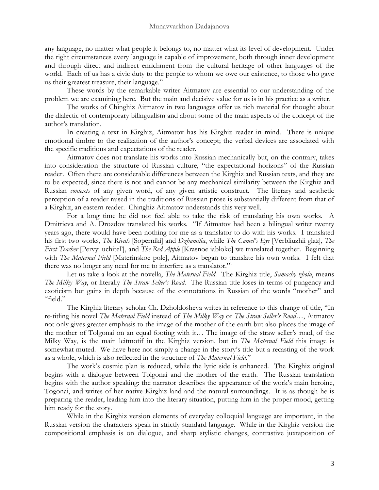any language, no matter what people it belongs to, no matter what its level of development. Under the right circumstances every language is capable of improvement, both through inner development and through direct and indirect enrichment from the cultural heritage of other languages of the world. Each of us has a civic duty to the people to whom we owe our existence, to those who gave us their greatest treasure, their language."

These words by the remarkable writer Aitmatov are essential to our understanding of the problem we are examining here. But the main and decisive value for us is in his practice as a writer.

The works of Chinghiz Aitmatov in two languages offer us rich material for thought about the dialectic of contemporary bilingualism and about some of the main aspects of the concept of the author's translation.

In creating a text in Kirghiz, Aitmatov has his Kirghiz reader in mind. There is unique emotional timbre to the realization of the author's concept; the verbal devices are associated with the specific traditions and expectations of the reader.

Aitmatov does not translate his works into Russian mechanically but, on the contrary, takes into consideration the structure of Russian culture, "the expectational horizons" of the Russian reader. Often there are considerable differences between the Kirghiz and Russian texts, and they are to be expected, since there is not and cannot be any mechanical similarity between the Kirghiz and Russian *contexts* of any given word, of any given artistic construct. The literary and aesthetic perception of a reader raised in the traditions of Russian prose is substantially different from that of a Kirghiz, an eastern reader. Chinghiz Aitmatov understands this very well.

For a long time he did not feel able to take the risk of translating his own works. A Dmitrieva and A. Drozdov translated his works. "If Aitmatov had been a bilingual writer twenty years ago, there would have been nothing for me as a translator to do with his works. I translated his first two works, *The Rivals* [Soperniki] and *Dzhamilia*, while *The Camel's Eye* [Verbliuzhii glaz], *The First Teacher* [Pervyi uchitel'], and *The Red Apple* [Krasnoe iabloko] we translated together. Beginning with *The Maternal Field* [Materinskoe pole], Aitmatov began to translate his own works. I felt that there was no longer any need for me to interfere as a translator."

Let us take a look at the novella, *The Maternal Field*. The Kirghiz title, *Samachy zholu*, means *The Milky Way*, or literally *The Straw Seller's Road*. The Russian title loses in terms of pungency and exoticism but gains in depth because of the connotations in Russian of the words "mother" and "field."

The Kirghiz literary scholar Ch. Dzholdosheva writes in reference to this change of title, "In re-titling his novel *The Maternal Field* instead of *The Milky Way* or *The Straw Seller's Road*…, Aitmatov not only gives greater emphasis to the image of the mother of the earth but also places the image of the mother of Tolgonai on an equal footing with it… The image of the straw seller's road, of the Milky Way, is the main leitmotif in the Kirghiz version, but in *The Maternal Field* this image is somewhat muted. We have here not simply a change in the story's title but a recasting of the work as a whole, which is also reflected in the structure of *The Maternal Field*."

The work's cosmic plan is reduced, while the lyric side is enhanced. The Kirghiz original begins with a dialogue between Tolgonai and the mother of the earth. The Russian translation begins with the author speaking: the narrator describes the appearance of the work's main heroine, Togonai, and writes of her native Kirghiz land and the natural surroundings. It is as though he is preparing the reader, leading him into the literary situation, putting him in the proper mood, getting him ready for the story.

While in the Kirghiz version elements of everyday colloquial language are important, in the Russian version the characters speak in strictly standard language. While in the Kirghiz version the compositional emphasis is on dialogue, and sharp stylistic changes, contrastive juxtaposition of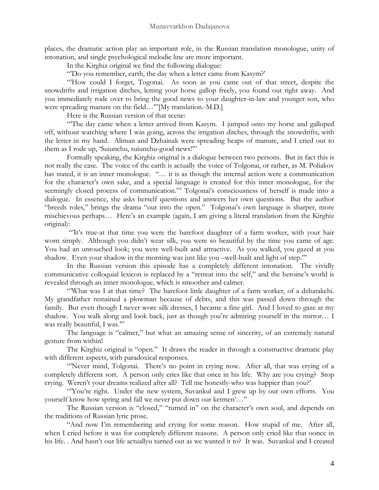places, the dramatic action play an important role, in the Russian translation monologue, unity of intonation, and single psychological melodic line are more important.

In the Kirghiz original we find the following dialogue:

"'Do you remember, earth, the day when a letter came from Kasym?'

"'How could I forget, Togonai. As soon as you came out of that street, despite the snowdrifts and irrigation ditches, letting your horse gallop freely, you found out right away. And you immediately rode over to bring the good news to your daughter-in-law and younger son, who were spreading manure on the field..."'[My translation.-M.D.]

Here is the Russian version of that scene:

"'The day came when a letter arrived from Kasym. I jumped onto my horse and galloped off, without watching where I was going, across the irrigation ditches, through the snowdrifts, with the letter in my hand. Aliman and Dzhainak were spreading heaps of manure, and I cried out to them as I rode up, 'Suiunchu, suiunchu-good news!'"

Formally speaking, the Kirghiz original is a dialogue between two persons. But in fact this is not really the case. The voice of the earth is actually the voice of Tolgonai, or rather, as M. Poliakov has stated, it is an inner monologue. "... it is as though the internal action were a communication for the character's own sake, and a special language is created for this inner monologue, for the seemingly closed process of communication."<sup>2</sup> Tolgonai's consciousness of herself is made into a dialogue. In essence, she asks herself questions and answers her own questions. But the author "breeds roles," brings the drama "out into the open." Tolgonai's own language is sharper, more mischievous perhaps… Here's an example (again, I am giving a literal translation from the Kirghiz original):

"It's true-at that time you were the barefoot daughter of a farm worker, with your hair worn simply. Although you didn't wear silk, you were so beautiful by the time you came of age. You had an untouched look; you were well-built and attractive. As you walked, you gazed at you shadow. Even your shadow in the morning was just like you –well-built and light of step.'"

In the Russian version this episode has a completely different intonation. The vividly communicative colloquial lexicon is replaced by a "retreat into the self," and the heroine's world is revealed through an inner monologue, which is smoother and calmer.

"'What was I at that time? The barefoot little daughter of a farm worker, of a dzhatakchi. My grandfather remained a plowman because of debts, and this was passed down through the family. But even though I never wore silk dresses, I became a fine girl. And I loved to gaze at my shadow. You walk along and look back, just as though you're admiring yourself in the mirror… I was really beautiful, I was."

The language is "calmer," but what an amazing sense of sincerity, of an extremely natural gesture from within!

The Kirghiz original is "open." It draws the reader in through a constructive dramatic play with different aspects, with paradoxical responses.

"Never mind, Tolgonai. There's no point in crying now. After all, that was crying of a completely different sort. A person only cries like that once in his life. Why are you crying? Stop crying. Weren't your dreams realized after all? Tell me honestly-who was happier than you?'

"You're right. Under the new system, Suvankul and I grew up by our own efforts. You yourself know how spring and fall we never put down our ketmen'…"

The Russian version is "closed," "turned in" on the character's own soul, and depends on the traditions of Russian lyric prose.

"And now I'm remembering and crying for some reason. How stupid of me. After all, when I cried before it was for completely different reasons. A person only cried like that oonce in his life. . And hasn't our life actuallyu turned out as we wanted it to? It was. Suvankul and I created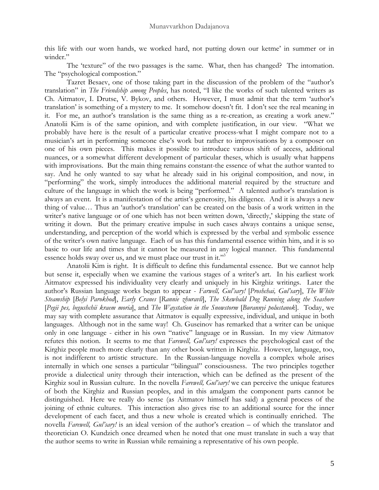this life with our worn hands, we worked hard, not putting down our ketme' in summer or in winder."

The 'texture" of the two passages is the same. What, then has changed? The intomation. The "psychological compostion."

Tazret Besaev, one of those taking part in the discussion of the problem of the "author's translation" in *The Friendship among Peoples*, has noted, "I like the works of such talented writers as Ch. Aitmatov, I. Drutse, V. Bykov, and others. However, I must admit that the term 'author's translation' is something of a mystery to me. It somehow doesn't fit. I don't see the real meaning in it. For me, an author's translation is the same thing as a re-creation, as creating a work anew." Anatolii Kim is of the same opinion, and with complete justification, in our view. "What we probably have here is the result of a particular creative process-what I might compare not to a musician's art in performing someone else's work but rather to improvisations by a composer on one of his own pieces. This makes it possible to introduce various shift of access, additional nuances, or a somewhat different development of particular theses, which is usually what happens with improvisations. But the main thing remains constant-the essence of what the author wanted to say. And he only wanted to say what he already said in his original composition, and now, in "performing" the work, simply introduces the additional material required by the structure and culture of the language in which the work is being "performed." A talented author's translation is always an event. It is a manifestation of the artist's generosity, his diligence. And it is always a new thing of value… Thus an 'author's translation' can be created on the basis of a work written in the writer's native language or of one which has not been written down, 'directly,' skipping the state of writing it down. But the primary creative impulse in such cases always contains a unique sense, understanding, and perception of the world which is expressed by the verbal and symbolic essence of the writer's own native language. Each of us has this fundamental essence within him, and it is so basic to our life and times that it cannot be measured in any logical manner. This fundamental essence holds sway over us, and we must place our trust in it."<sup>3</sup>

Anatolii Kim is right. It is difficult to define this fundamental essence. But we cannot help but sense it, especially when we examine the various stages of a writer's art. In his earliest work Aitmatov expressed his individuality very clearly and uniquely in his Kirghiz writings. Later the author's Russian language works began to appear - *Farwell, Gul'sary!* [*Proshchai, Gul'sary*], *The White Steamship* [*Belyi Parokhod*], *Early Cranes* [*Rannie zhuravli*], *The Skewbald Dog Running along the Seashore* [*Pegii pes, begushchii kraem moria*], and *The Waystation in the Snowstorm* [*Burannyi polustanok*]. Today, we may say with complete assurance that Aitmatov is equally expressive, individual, and unique in both languages. Although not in the same way! Ch. Guseinov has remarked that a writer can be unique only in one language - either in his own "native" language or in Russian. In my view Aitmatov refutes this notion. It seems to me that *Farewell, Gul'sary!* expresses the psychological cast of the Kirghiz people much more clearly than any other book written in Kirghiz. However, language, too, is not indifferent to artistic structure. In the Russian-language novella a complex whole arises internally in which one senses a particular "bilingual" consciousness. The two principles together provide a dialectical unity through their interaction, which can be defined as the present of the Kirghiz soul in Russian culture. In the novella *Farewell, Gul'sary!* we can perceive the unique features of both the Kirghiz and Russian peoples, and in this amalgam the component parts cannot be distinguished. Here we really do sense (as Aitmatov himself has said) a general process of the joining of ethnic cultures. This interaction also gives rise to an additional source for the inner development of each facet, and thus a new whole is created which is continually enriched. The novella *Farewell, Gul'sary!* is an ideal version of the author's creation – of which the translator and theoretician O. Kundzich once dreamed when he noted that one must translate in such a way that the author seems to write in Russian while remaining a representative of his own people.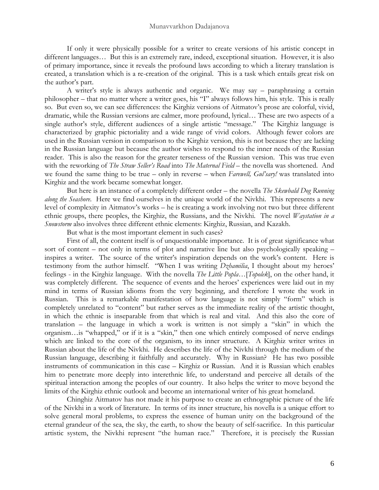If only it were physically possible for a writer to create versions of his artistic concept in different languages… But this is an extremely rare, indeed, exceptional situation. However, it is also of primary importance, since it reveals the profound laws according to which a literary translation is created, a translation which is a re-creation of the original. This is a task which entails great risk on the author's part.

A writer's style is always authentic and organic. We may say – paraphrasing a certain philosopher – that no matter where a writer goes, his "I" always follows him, his style. This is really so. But even so, we can see differences: the Kirghiz versions of Aitmatov's prose are colorful, vivid, dramatic, while the Russian versions are calmer, more profound, lyrical… These are two aspects of a single author's style, different audiences of a single artistic "message." The Kirghiz language is characterized by graphic pictoriality and a wide range of vivid colors. Although fewer colors are used in the Russian version in comparison to the Kirghiz version, this is not because they are lacking in the Russian language but because the author wishes to respond to the inner needs of the Russian reader. This is also the reason for the greater terseness of the Russian version. This was true even with the reworking of *The Straw Seller's Road* into *The Maternal Field* – the novella was shortened. And we found the same thing to be true – only in reverse – when *Farewell, Gul'sary!* was translated into Kirghiz and the work became somewhat longer.

But here is an instance of a completely different order – the novella *The Skewbald Dog Running along the Seashore*. Here we find ourselves in the unique world of the Nivkhi. This represents a new level of complexity in Aitmatov's works – he is creating a work involving not two but three different ethnic groups, there peoples, the Kirghiz, the Russians, and the Nivkhi. The novel *Waystation in a Snowstorm* also involves three different ethnic elements: Kirghiz, Russian, and Kazakh.

But what is the most important element in such cases?

First of all, the content itself is of unquestionable importance. It is of great significance what sort of content – not only in terms of plot and narrative line but also psychologically speaking – inspires a writer. The source of the writer's inspiration depends on the work's content. Here is testimony from the author himself. "When I was writing *Dzhamilia*, I thought about my heroes' feelings - in the Kirghiz language. With the novella *The Little Popla*…[*Topolek*], on the other hand, it was completely different. The sequence of events and the heroes' experiences were laid out in my mind in terms of Russian idioms from the very beginning, and therefore I wrote the work in Russian. This is a remarkable manifestation of how language is not simply "form" which is completely unrelated to "content" but rather serves as the immediate reality of the artistic thought, in which the ethnic is inseparable from that which is real and vital. And this also the core of translation – the language in which a work is written is not simply a "skin" in which the organism…is "whapped," or if it is a "skin," then one which entirely composed of nerve endings which are linked to the core of the organism, to its inner structure. A Kirghiz writer writes in Russian about the life of the Nivkhi. He describes the life of the Nivkhi through the medium of the Russian language, describing it faithfully and accurately. Why in Russian? He has two possible instruments of communication in this case – Kirghiz or Russian. And it is Russian which enables him to penetrate more deeply into interethnic life, to understand and perceive all details of the spiritual interaction among the peoples of our country. It also helps the writer to move beyond the limits of the Kirghiz ethnic outlook and become an international writer of his great homeland.

Chinghiz Aitmatov has not made it his purpose to create an ethnographic picture of the life of the Nivkhi in a work of literature. In terms of its inner structure, his novella is a unique effort to solve general moral problems, to express the essence of human unity on the background of the eternal grandeur of the sea, the sky, the earth, to show the beauty of self-sacrifice. In this particular artistic system, the Nivkhi represent "the human race." Therefore, it is precisely the Russian